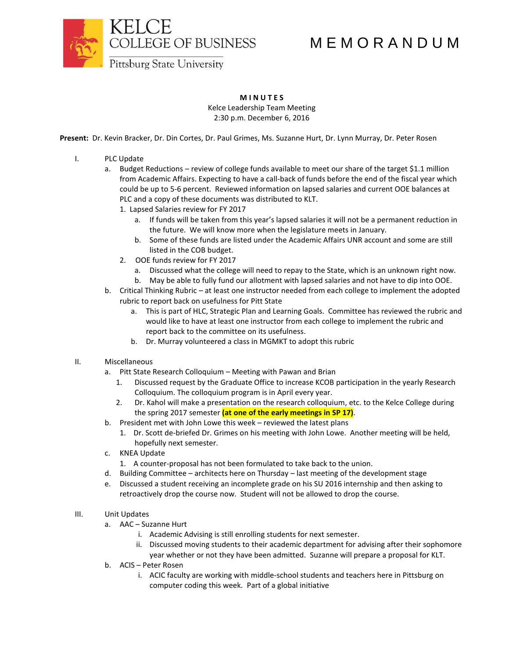M E M O R A N D U M



## **M I N U T E S**

Kelce Leadership Team Meeting 2:30 p.m. December 6, 2016

**Present:** Dr. Kevin Bracker, Dr. Din Cortes, Dr. Paul Grimes, Ms. Suzanne Hurt, Dr. Lynn Murray, Dr. Peter Rosen

- I. PLC Update
	- a. Budget Reductions review of college funds available to meet our share of the target \$1.1 million from Academic Affairs. Expecting to have a call-back of funds before the end of the fiscal year which could be up to 5-6 percent. Reviewed information on lapsed salaries and current OOE balances at PLC and a copy of these documents was distributed to KLT.
		- 1. Lapsed Salaries review for FY 2017
			- a. If funds will be taken from this year's lapsed salaries it will not be a permanent reduction in the future. We will know more when the legislature meets in January.
			- b. Some of these funds are listed under the Academic Affairs UNR account and some are still listed in the COB budget.
		- 2. OOE funds review for FY 2017
			- a. Discussed what the college will need to repay to the State, which is an unknown right now.
			- b. May be able to fully fund our allotment with lapsed salaries and not have to dip into OOE.
	- b. Critical Thinking Rubric at least one instructor needed from each college to implement the adopted rubric to report back on usefulness for Pitt State
		- a. This is part of HLC, Strategic Plan and Learning Goals. Committee has reviewed the rubric and would like to have at least one instructor from each college to implement the rubric and report back to the committee on its usefulness.
		- b. Dr. Murray volunteered a class in MGMKT to adopt this rubric

## II. Miscellaneous

- a. Pitt State Research Colloquium Meeting with Pawan and Brian
	- 1. Discussed request by the Graduate Office to increase KCOB participation in the yearly Research Colloquium. The colloquium program is in April every year.
	- 2. Dr. Kahol will make a presentation on the research colloquium, etc. to the Kelce College during the spring 2017 semester **(at one of the early meetings in SP 17)**.
- b. President met with John Lowe this week reviewed the latest plans
	- 1. Dr. Scott de-briefed Dr. Grimes on his meeting with John Lowe. Another meeting will be held, hopefully next semester.
- c. KNEA Update
	- 1. A counter-proposal has not been formulated to take back to the union.
- d. Building Committee architects here on Thursday last meeting of the development stage
- e. Discussed a student receiving an incomplete grade on his SU 2016 internship and then asking to retroactively drop the course now. Student will not be allowed to drop the course.

## III. Unit Updates

- a. AAC Suzanne Hurt
	- i. Academic Advising is still enrolling students for next semester.
	- ii. Discussed moving students to their academic department for advising after their sophomore year whether or not they have been admitted. Suzanne will prepare a proposal for KLT.
- b. ACIS Peter Rosen
	- i. ACIC faculty are working with middle-school students and teachers here in Pittsburg on computer coding this week. Part of a global initiative